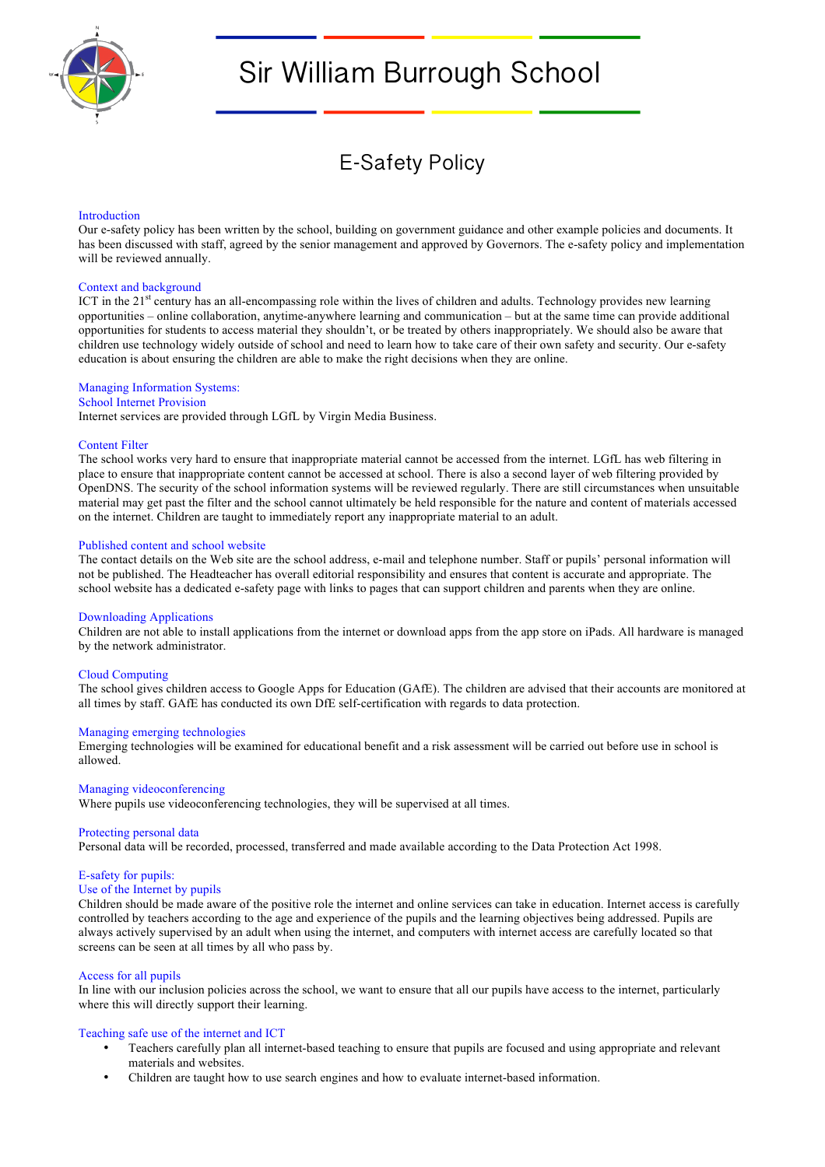

# Sir William Burrough School

E-Safety Policy

#### Introduction

Our e-safety policy has been written by the school, building on government guidance and other example policies and documents. It has been discussed with staff, agreed by the senior management and approved by Governors. The e-safety policy and implementation will be reviewed annually.

#### Context and background

ICT in the  $21<sup>st</sup>$  century has an all-encompassing role within the lives of children and adults. Technology provides new learning opportunities – online collaboration, anytime-anywhere learning and communication – but at the same time can provide additional opportunities for students to access material they shouldn't, or be treated by others inappropriately. We should also be aware that children use technology widely outside of school and need to learn how to take care of their own safety and security. Our e-safety education is about ensuring the children are able to make the right decisions when they are online.

# Managing Information Systems:

# School Internet Provision

Internet services are provided through LGfL by Virgin Media Business.

#### Content Filter

The school works very hard to ensure that inappropriate material cannot be accessed from the internet. LGfL has web filtering in place to ensure that inappropriate content cannot be accessed at school. There is also a second layer of web filtering provided by OpenDNS. The security of the school information systems will be reviewed regularly. There are still circumstances when unsuitable material may get past the filter and the school cannot ultimately be held responsible for the nature and content of materials accessed on the internet. Children are taught to immediately report any inappropriate material to an adult.

#### Published content and school website

The contact details on the Web site are the school address, e-mail and telephone number. Staff or pupils' personal information will not be published. The Headteacher has overall editorial responsibility and ensures that content is accurate and appropriate. The school website has a dedicated e-safety page with links to pages that can support children and parents when they are online.

#### Downloading Applications

Children are not able to install applications from the internet or download apps from the app store on iPads. All hardware is managed by the network administrator.

#### Cloud Computing

The school gives children access to Google Apps for Education (GAfE). The children are advised that their accounts are monitored at all times by staff. GAfE has conducted its own DfE self-certification with regards to data protection.

#### Managing emerging technologies

Emerging technologies will be examined for educational benefit and a risk assessment will be carried out before use in school is allowed.

#### Managing videoconferencing

Where pupils use videoconferencing technologies, they will be supervised at all times.

#### Protecting personal data

Personal data will be recorded, processed, transferred and made available according to the Data Protection Act 1998.

# E-safety for pupils:

# Use of the Internet by pupils

Children should be made aware of the positive role the internet and online services can take in education. Internet access is carefully controlled by teachers according to the age and experience of the pupils and the learning objectives being addressed. Pupils are always actively supervised by an adult when using the internet, and computers with internet access are carefully located so that screens can be seen at all times by all who pass by.

# Access for all pupils

In line with our inclusion policies across the school, we want to ensure that all our pupils have access to the internet, particularly where this will directly support their learning.

#### Teaching safe use of the internet and ICT

- Teachers carefully plan all internet-based teaching to ensure that pupils are focused and using appropriate and relevant materials and websites.
- Children are taught how to use search engines and how to evaluate internet-based information.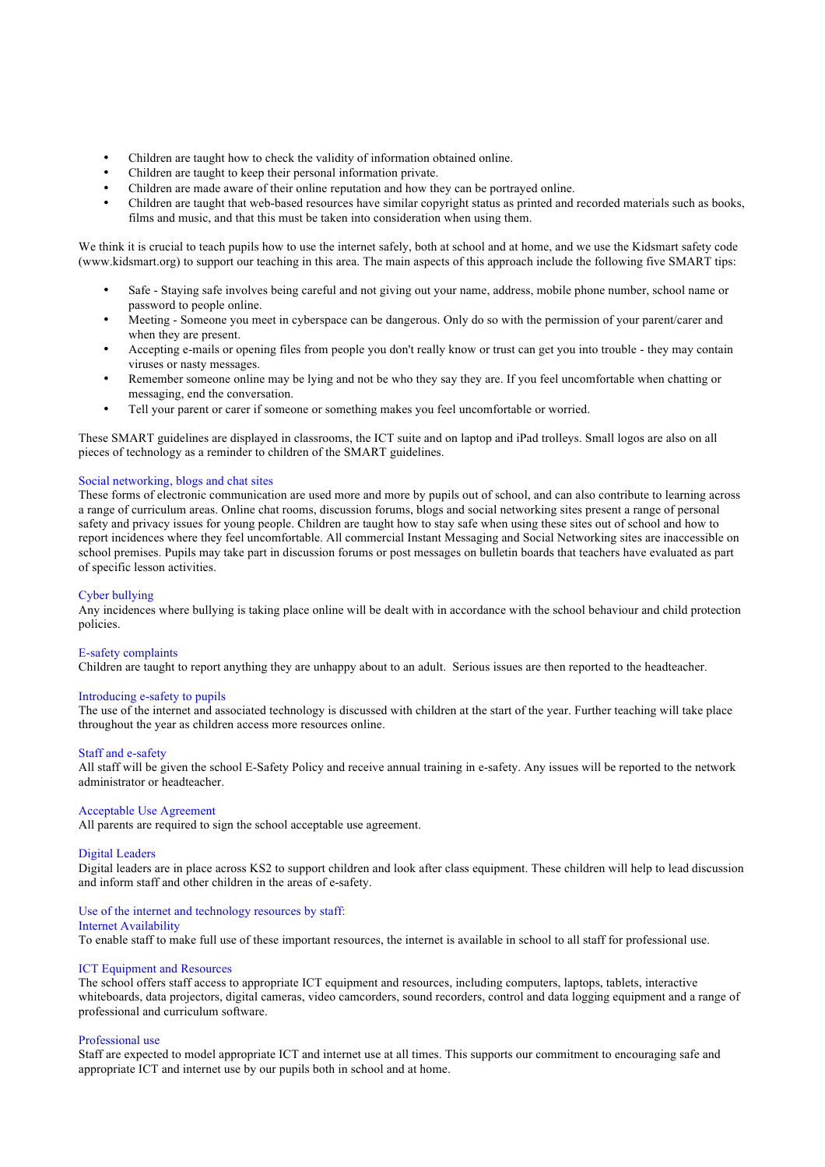- Children are taught how to check the validity of information obtained online.
- Children are taught to keep their personal information private.
- Children are made aware of their online reputation and how they can be portrayed online.
- Children are taught that web-based resources have similar copyright status as printed and recorded materials such as books, films and music, and that this must be taken into consideration when using them.

We think it is crucial to teach pupils how to use the internet safely, both at school and at home, and we use the Kidsmart safety code (www.kidsmart.org) to support our teaching in this area. The main aspects of this approach include the following five SMART tips:

- Safe Staying safe involves being careful and not giving out your name, address, mobile phone number, school name or password to people online.
- Meeting Someone you meet in cyberspace can be dangerous. Only do so with the permission of your parent/carer and when they are present.
- Accepting e-mails or opening files from people you don't really know or trust can get you into trouble they may contain viruses or nasty messages.
- Remember someone online may be lying and not be who they say they are. If you feel uncomfortable when chatting or messaging, end the conversation.
- Tell your parent or carer if someone or something makes you feel uncomfortable or worried.

These SMART guidelines are displayed in classrooms, the ICT suite and on laptop and iPad trolleys. Small logos are also on all pieces of technology as a reminder to children of the SMART guidelines.

# Social networking, blogs and chat sites

These forms of electronic communication are used more and more by pupils out of school, and can also contribute to learning across a range of curriculum areas. Online chat rooms, discussion forums, blogs and social networking sites present a range of personal safety and privacy issues for young people. Children are taught how to stay safe when using these sites out of school and how to report incidences where they feel uncomfortable. All commercial Instant Messaging and Social Networking sites are inaccessible on school premises. Pupils may take part in discussion forums or post messages on bulletin boards that teachers have evaluated as part of specific lesson activities.

# Cyber bullying

Any incidences where bullying is taking place online will be dealt with in accordance with the school behaviour and child protection policies.

#### E-safety complaints

Children are taught to report anything they are unhappy about to an adult. Serious issues are then reported to the headteacher.

# Introducing e-safety to pupils

The use of the internet and associated technology is discussed with children at the start of the year. Further teaching will take place throughout the year as children access more resources online.

#### Staff and e-safety

All staff will be given the school E-Safety Policy and receive annual training in e-safety. Any issues will be reported to the network administrator or headteacher.

#### Acceptable Use Agreement

All parents are required to sign the school acceptable use agreement.

#### Digital Leaders

Digital leaders are in place across KS2 to support children and look after class equipment. These children will help to lead discussion and inform staff and other children in the areas of e-safety.

#### Use of the internet and technology resources by staff:

#### Internet Availability

To enable staff to make full use of these important resources, the internet is available in school to all staff for professional use.

# ICT Equipment and Resources

The school offers staff access to appropriate ICT equipment and resources, including computers, laptops, tablets, interactive whiteboards, data projectors, digital cameras, video camcorders, sound recorders, control and data logging equipment and a range of professional and curriculum software.

#### Professional use

Staff are expected to model appropriate ICT and internet use at all times. This supports our commitment to encouraging safe and appropriate ICT and internet use by our pupils both in school and at home.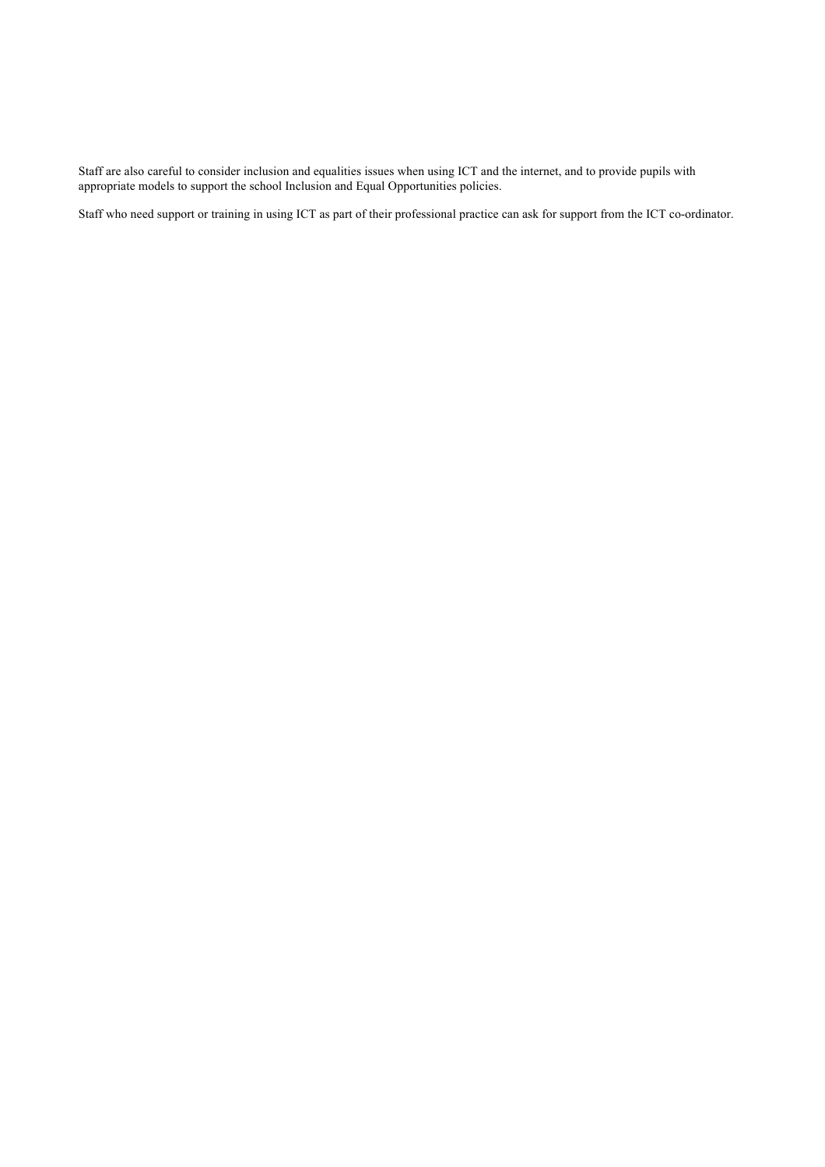Staff are also careful to consider inclusion and equalities issues when using ICT and the internet, and to provide pupils with appropriate models to support the school Inclusion and Equal Opportunities policies.

Staff who need support or training in using ICT as part of their professional practice can ask for support from the ICT co-ordinator.